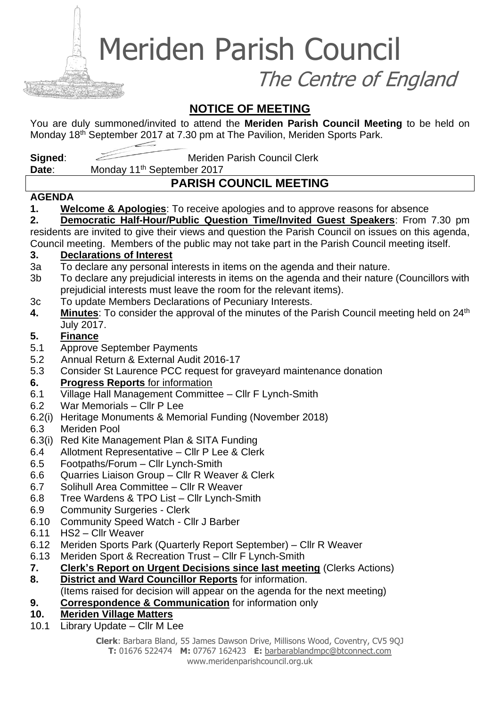Meriden Parish Council

The Centre of England

## **NOTICE OF MEETING**

You are duly summoned/invited to attend the **Meriden Parish Council Meeting** to be held on Monday 18<sup>th</sup> September 2017 at 7.30 pm at The Pavilion, Meriden Sports Park.

**Signed:** Meriden Parish Council Clerk

**Date:** Monday 11<sup>th</sup> September 2017

## **PARISH COUNCIL MEETING**

### **AGENDA**

**1. Welcome & Apologies**: To receive apologies and to approve reasons for absence

**2. Democratic Half-Hour/Public Question Time/Invited Guest Speakers**: From 7.30 pm residents are invited to give their views and question the Parish Council on issues on this agenda, Council meeting. Members of the public may not take part in the Parish Council meeting itself.

### **3. Declarations of Interest**

- 3a To declare any personal interests in items on the agenda and their nature.
- 3b To declare any prejudicial interests in items on the agenda and their nature (Councillors with prejudicial interests must leave the room for the relevant items).
- 3c To update Members Declarations of Pecuniary Interests.
- **4.** Minutes: To consider the approval of the minutes of the Parish Council meeting held on 24<sup>th</sup> July 2017.

### **5. Finance**

- 5.1 Approve September Payments
- 5.2 Annual Return & External Audit 2016-17
- 5.3 Consider St Laurence PCC request for graveyard maintenance donation

### **6. Progress Reports** for information

- 6.1 Village Hall Management Committee Cllr F Lynch-Smith
- 6.2 War Memorials Cllr P Lee
- 6.2(i) Heritage Monuments & Memorial Funding (November 2018)
- 6.3 Meriden Pool
- 6.3(i) Red Kite Management Plan & SITA Funding
- 6.4 Allotment Representative Cllr P Lee & Clerk
- 6.5 Footpaths/Forum Cllr Lynch-Smith
- 6.6 Quarries Liaison Group Cllr R Weaver & Clerk
- 6.7 Solihull Area Committee Cllr R Weaver
- 6.8 Tree Wardens & TPO List Cllr Lynch-Smith
- 6.9 Community Surgeries Clerk
- 6.10 Community Speed Watch Cllr J Barber
- 6.11 HS2 Cllr Weaver
- 6.12 Meriden Sports Park (Quarterly Report September) Cllr R Weaver
- 6.13 Meriden Sport & Recreation Trust Cllr F Lynch-Smith
- **7. Clerk's Report on Urgent Decisions since last meeting** (Clerks Actions)
- **8. District and Ward Councillor Reports** for information.
- (Items raised for decision will appear on the agenda for the next meeting)
- **9. Correspondence & Communication** for information only
- **10. Meriden Village Matters**
- 10.1 Library Update Cllr M Lee